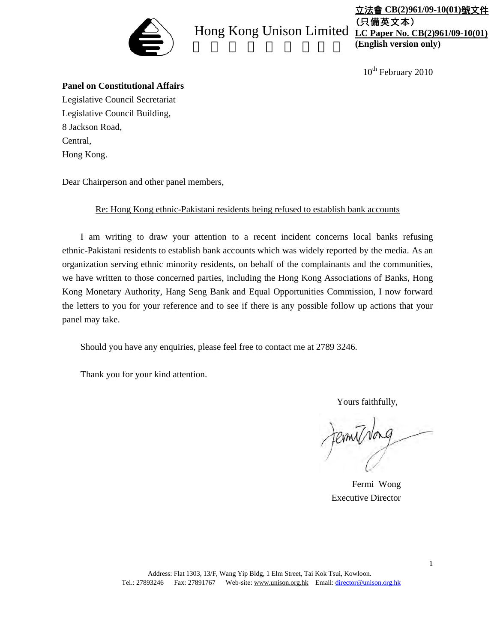

# Hong Kong Unison Limited <u>LC Paper No. CB(2)961/09-10(01</u>)

立法會 **CB(2)961/09-10(01)**號文件 (只備英文本) **(English version only)**

 $10^{th}$  February 2010

#### **Panel on Constitutional Affairs**

Legislative Council Secretariat Legislative Council Building, 8 Jackson Road, Central, Hong Kong.

Dear Chairperson and other panel members,

Re: Hong Kong ethnic-Pakistani residents being refused to establish bank accounts

I am writing to draw your attention to a recent incident concerns local banks refusing ethnic-Pakistani residents to establish bank accounts which was widely reported by the media. As an organization serving ethnic minority residents, on behalf of the complainants and the communities, we have written to those concerned parties, including the Hong Kong Associations of Banks, Hong Kong Monetary Authority, Hang Seng Bank and Equal Opportunities Commission, I now forward the letters to you for your reference and to see if there is any possible follow up actions that your panel may take.

Should you have any enquiries, please feel free to contact me at 2789 3246.

Thank you for your kind attention.

Yours faithfully,

Jernithing

Fermi Wong Executive Director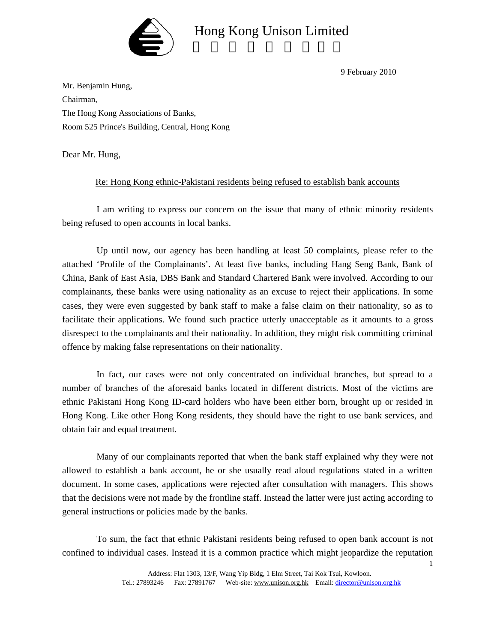

9 February 2010

Mr. Benjamin Hung, Chairman, The Hong Kong Associations of Banks, Room 525 Prince's Building, Central, Hong Kong

Dear Mr. Hung,

#### Re: Hong Kong ethnic-Pakistani residents being refused to establish bank accounts

I am writing to express our concern on the issue that many of ethnic minority residents being refused to open accounts in local banks.

Up until now, our agency has been handling at least 50 complaints, please refer to the attached 'Profile of the Complainants'. At least five banks, including Hang Seng Bank, Bank of China, Bank of East Asia, DBS Bank and Standard Chartered Bank were involved. According to our complainants, these banks were using nationality as an excuse to reject their applications. In some cases, they were even suggested by bank staff to make a false claim on their nationality, so as to facilitate their applications. We found such practice utterly unacceptable as it amounts to a gross disrespect to the complainants and their nationality. In addition, they might risk committing criminal offence by making false representations on their nationality.

In fact, our cases were not only concentrated on individual branches, but spread to a number of branches of the aforesaid banks located in different districts. Most of the victims are ethnic Pakistani Hong Kong ID-card holders who have been either born, brought up or resided in Hong Kong. Like other Hong Kong residents, they should have the right to use bank services, and obtain fair and equal treatment.

Many of our complainants reported that when the bank staff explained why they were not allowed to establish a bank account, he or she usually read aloud regulations stated in a written document. In some cases, applications were rejected after consultation with managers. This shows that the decisions were not made by the frontline staff. Instead the latter were just acting according to general instructions or policies made by the banks.

To sum, the fact that ethnic Pakistani residents being refused to open bank account is not confined to individual cases. Instead it is a common practice which might jeopardize the reputation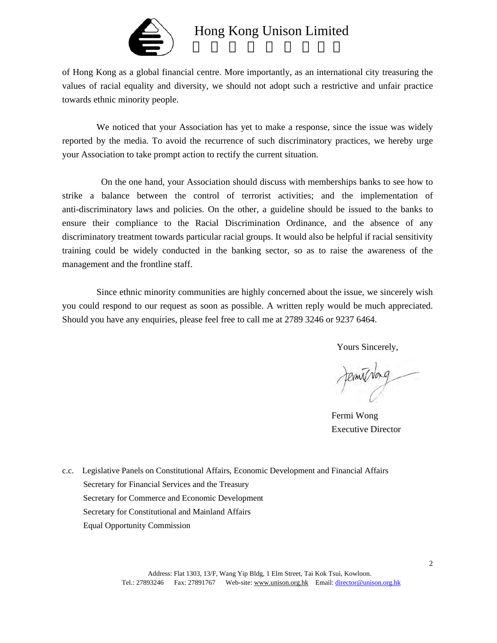

of Hong Kong as a global financial centre. More importantly, as an international city treasuring the values of racial equality and diversity, we should not adopt such a restrictive and unfair practice towards ethnic minority people.

We noticed that your Association has yet to make a response, since the issue was widely reported by the media. To avoid the recurrence of such discriminatory practices, we hereby urge your Association to take prompt action to rectify the current situation.

On the one hand, your Association should discuss with memberships banks to see how to strike a balance between the control of terrorist activities; and the implementation of anti-discriminatory laws and policies. On the other, a guideline should be issued to the banks to ensure their compliance to the Racial Discrimination Ordinance, and the absence of any discriminatory treatment towards particular racial groups. It would also be helpful if racial sensitivity training could be widely conducted in the banking sector, so as to raise the awareness of the management and the frontline staff.

Since ethnic minority communities are highly concerned about the issue, we sincerely wish you could respond to our request as soon as possible. A written reply would be much appreciated. Should you have any enquiries, please feel free to call me at 2789 3246 or 9237 6464.

Yours Sincerely,

fermil/vong

Fermi Wong Executive Director

c.c. Legislative Panels on Constitutional Affairs, Economic Development and Financial Affairs Secretary for Financial Services and the Treasury Secretary for Commerce and Economic Development Secretary for Constitutional and Mainland Affairs Equal Opportunity Commission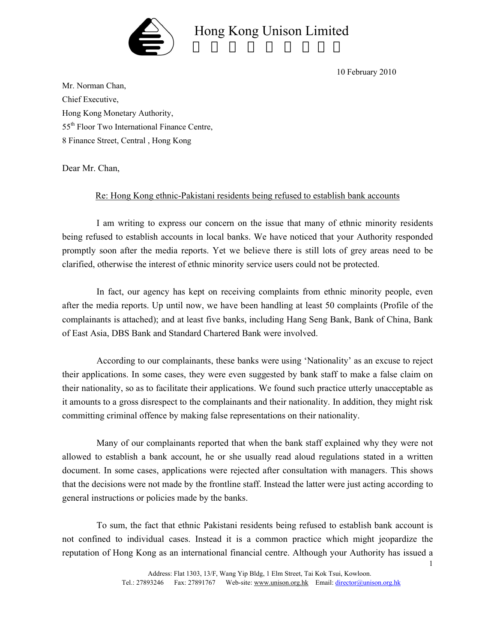

10 February 2010

Mr. Norman Chan, Chief Executive, Hong Kong Monetary Authority, 55th Floor Two International Finance Centre, 8 Finance Street, Central , Hong Kong

Dear Mr. Chan,

#### Re: Hong Kong ethnic-Pakistani residents being refused to establish bank accounts

I am writing to express our concern on the issue that many of ethnic minority residents being refused to establish accounts in local banks. We have noticed that your Authority responded promptly soon after the media reports. Yet we believe there is still lots of grey areas need to be clarified, otherwise the interest of ethnic minority service users could not be protected.

In fact, our agency has kept on receiving complaints from ethnic minority people, even after the media reports. Up until now, we have been handling at least 50 complaints (Profile of the complainants is attached); and at least five banks, including Hang Seng Bank, Bank of China, Bank of East Asia, DBS Bank and Standard Chartered Bank were involved.

According to our complainants, these banks were using 'Nationality' as an excuse to reject their applications. In some cases, they were even suggested by bank staff to make a false claim on their nationality, so as to facilitate their applications. We found such practice utterly unacceptable as it amounts to a gross disrespect to the complainants and their nationality. In addition, they might risk committing criminal offence by making false representations on their nationality.

Many of our complainants reported that when the bank staff explained why they were not allowed to establish a bank account, he or she usually read aloud regulations stated in a written document. In some cases, applications were rejected after consultation with managers. This shows that the decisions were not made by the frontline staff. Instead the latter were just acting according to general instructions or policies made by the banks.

To sum, the fact that ethnic Pakistani residents being refused to establish bank account is not confined to individual cases. Instead it is a common practice which might jeopardize the reputation of Hong Kong as an international financial centre. Although your Authority has issued a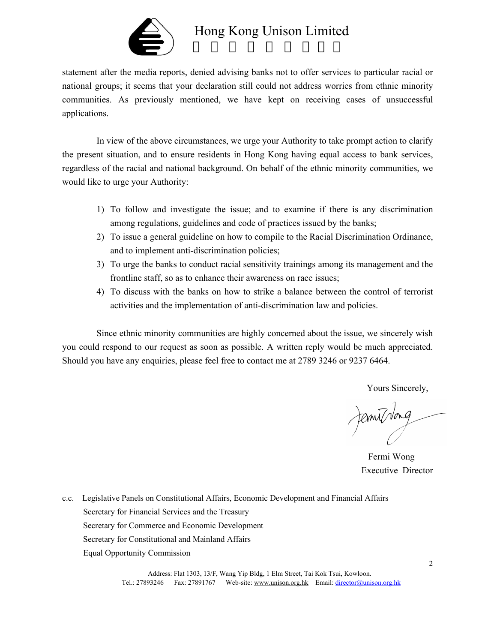

statement after the media reports, denied advising banks not to offer services to particular racial or national groups; it seems that your declaration still could not address worries from ethnic minority communities. As previously mentioned, we have kept on receiving cases of unsuccessful applications.

In view of the above circumstances, we urge your Authority to take prompt action to clarify the present situation, and to ensure residents in Hong Kong having equal access to bank services, regardless of the racial and national background. On behalf of the ethnic minority communities, we would like to urge your Authority:

- 1) To follow and investigate the issue; and to examine if there is any discrimination among regulations, guidelines and code of practices issued by the banks;
- 2) To issue a general guideline on how to compile to the Racial Discrimination Ordinance, and to implement anti-discrimination policies;
- 3) To urge the banks to conduct racial sensitivity trainings among its management and the frontline staff, so as to enhance their awareness on race issues;
- 4) To discuss with the banks on how to strike a balance between the control of terrorist activities and the implementation of anti-discrimination law and policies.

Since ethnic minority communities are highly concerned about the issue, we sincerely wish you could respond to our request as soon as possible. A written reply would be much appreciated. Should you have any enquiries, please feel free to contact me at 2789 3246 or 9237 6464.

Yours Sincerely,

Jernist Nong

Fermi Wong Executive Director

c.c. Legislative Panels on Constitutional Affairs, Economic Development and Financial Affairs Secretary for Financial Services and the Treasury Secretary for Commerce and Economic Development Secretary for Constitutional and Mainland Affairs Equal Opportunity Commission

> Address: Flat 1303, 13/F, Wang Yip Bldg, 1 Elm Street, Tai Kok Tsui, Kowloon. Tel.: 27893246 Fax: 27891767 Web-site: www.unison.org.hk Email: director@unison.org.hk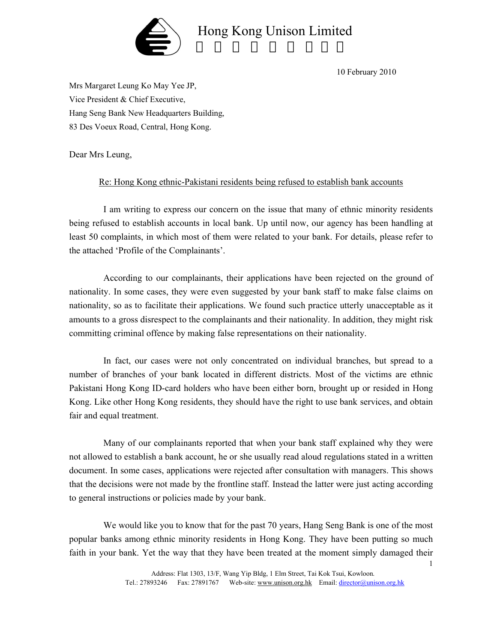

10 February 2010

Mrs Margaret Leung Ko May Yee JP, Vice President & Chief Executive, Hang Seng Bank New Headquarters Building, 83 Des Voeux Road, Central, Hong Kong.

Dear Mrs Leung,

### Re: Hong Kong ethnic-Pakistani residents being refused to establish bank accounts

I am writing to express our concern on the issue that many of ethnic minority residents being refused to establish accounts in local bank. Up until now, our agency has been handling at least 50 complaints, in which most of them were related to your bank. For details, please refer to the attached 'Profile of the Complainants'.

According to our complainants, their applications have been rejected on the ground of nationality. In some cases, they were even suggested by your bank staff to make false claims on nationality, so as to facilitate their applications. We found such practice utterly unacceptable as it amounts to a gross disrespect to the complainants and their nationality. In addition, they might risk committing criminal offence by making false representations on their nationality.

In fact, our cases were not only concentrated on individual branches, but spread to a number of branches of your bank located in different districts. Most of the victims are ethnic Pakistani Hong Kong ID-card holders who have been either born, brought up or resided in Hong Kong. Like other Hong Kong residents, they should have the right to use bank services, and obtain fair and equal treatment.

Many of our complainants reported that when your bank staff explained why they were not allowed to establish a bank account, he or she usually read aloud regulations stated in a written document. In some cases, applications were rejected after consultation with managers. This shows that the decisions were not made by the frontline staff. Instead the latter were just acting according to general instructions or policies made by your bank.

We would like you to know that for the past 70 years, Hang Seng Bank is one of the most popular banks among ethnic minority residents in Hong Kong. They have been putting so much faith in your bank. Yet the way that they have been treated at the moment simply damaged their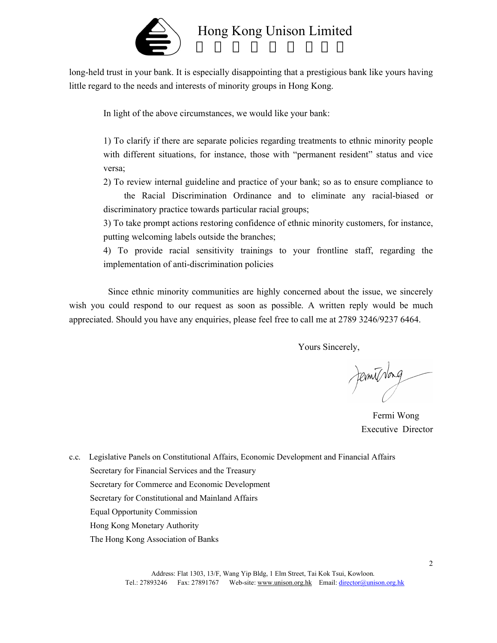

long-held trust in your bank. It is especially disappointing that a prestigious bank like yours having little regard to the needs and interests of minority groups in Hong Kong.

In light of the above circumstances, we would like your bank:

1) To clarify if there are separate policies regarding treatments to ethnic minority people with different situations, for instance, those with "permanent resident" status and vice versa;

2) To review internal guideline and practice of your bank; so as to ensure compliance to the Racial Discrimination Ordinance and to eliminate any racial-biased or discriminatory practice towards particular racial groups;

3) To take prompt actions restoring confidence of ethnic minority customers, for instance, putting welcoming labels outside the branches;

4) To provide racial sensitivity trainings to your frontline staff, regarding the implementation of anti-discrimination policies

Since ethnic minority communities are highly concerned about the issue, we sincerely wish you could respond to our request as soon as possible. A written reply would be much appreciated. Should you have any enquiries, please feel free to call me at 2789 3246/9237 6464.

Yours Sincerely,

Jernithong

Fermi Wong Executive Director

c.c. Legislative Panels on Constitutional Affairs, Economic Development and Financial Affairs Secretary for Financial Services and the Treasury Secretary for Commerce and Economic Development Secretary for Constitutional and Mainland Affairs Equal Opportunity Commission Hong Kong Monetary Authority The Hong Kong Association of Banks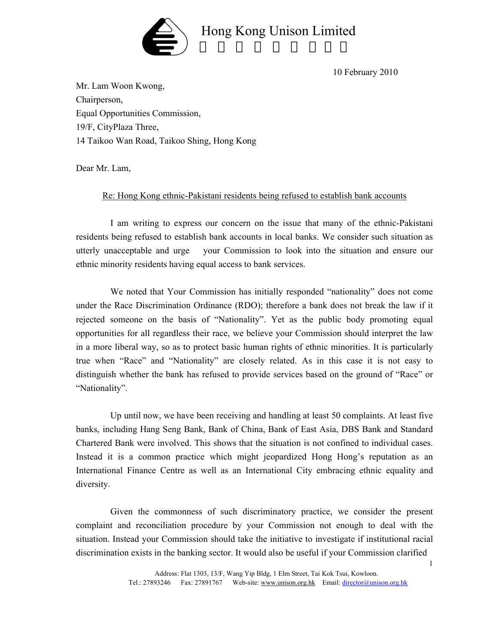

10 February 2010

Mr. Lam Woon Kwong, Chairperson, Equal Opportunities Commission, 19/F, CityPlaza Three, 14 Taikoo Wan Road, Taikoo Shing, Hong Kong

Dear Mr. Lam,

### Re: Hong Kong ethnic-Pakistani residents being refused to establish bank accounts

I am writing to express our concern on the issue that many of the ethnic-Pakistani residents being refused to establish bank accounts in local banks. We consider such situation as utterly unacceptable and urge your Commission to look into the situation and ensure our ethnic minority residents having equal access to bank services.

We noted that Your Commission has initially responded "nationality" does not come under the Race Discrimination Ordinance (RDO); therefore a bank does not break the law if it rejected someone on the basis of "Nationality". Yet as the public body promoting equal opportunities for all regardless their race, we believe your Commission should interpret the law in a more liberal way, so as to protect basic human rights of ethnic minorities. It is particularly true when "Race" and "Nationality" are closely related. As in this case it is not easy to distinguish whether the bank has refused to provide services based on the ground of "Race" or "Nationality".

Up until now, we have been receiving and handling at least 50 complaints. At least five banks, including Hang Seng Bank, Bank of China, Bank of East Asia, DBS Bank and Standard Chartered Bank were involved. This shows that the situation is not confined to individual cases. Instead it is a common practice which might jeopardized Hong Hong's reputation as an International Finance Centre as well as an International City embracing ethnic equality and diversity.

Given the commonness of such discriminatory practice, we consider the present complaint and reconciliation procedure by your Commission not enough to deal with the situation. Instead your Commission should take the initiative to investigate if institutional racial discrimination exists in the banking sector. It would also be useful if your Commission clarified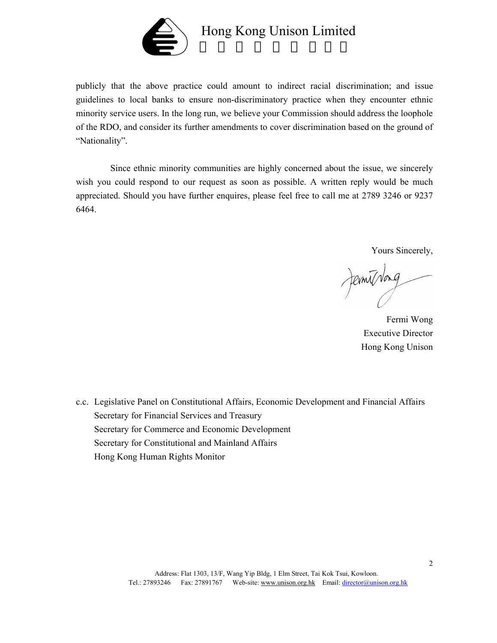

publicly that the above practice could amount to indirect racial discrimination; and issue guidelines to local banks to ensure non-discriminatory practice when they encounter ethnic minority service users. In the long run, we believe your Commission should address the loophole of the RDO, and consider its further amendments to cover discrimination based on the ground of "Nationality".

Since ethnic minority communities are highly concerned about the issue, we sincerely wish you could respond to our request as soon as possible. A written reply would be much appreciated. Should you have further enquires, please feel free to call me at 2789 3246 or 9237 6464.

Yours Sincerely,

Jernithong

Fermi Wong Executive Director Hong Kong Unison

c.c. Legislative Panel on Constitutional Affairs, Economic Development and Financial Affairs Secretary for Financial Services and Treasury Secretary for Commerce and Economic Development Secretary for Constitutional and Mainland Affairs Hong Kong Human Rights Monitor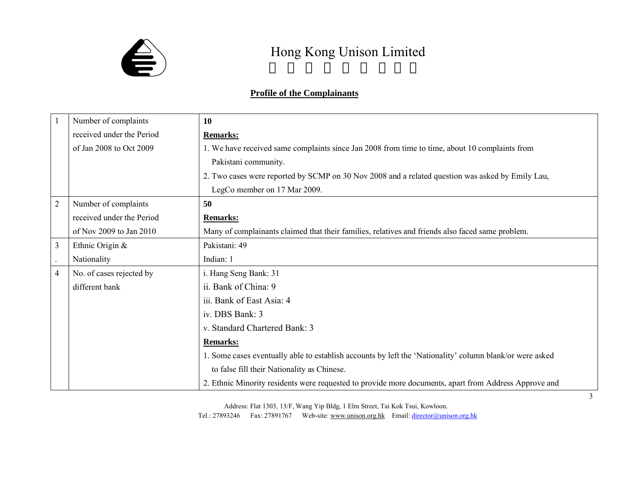

### **Profile of the Complainants**

|                | Number of complaints      | 10                                                                                                       |
|----------------|---------------------------|----------------------------------------------------------------------------------------------------------|
|                | received under the Period | <b>Remarks:</b>                                                                                          |
|                | of Jan 2008 to Oct 2009   | 1. We have received same complaints since Jan 2008 from time to time, about 10 complaints from           |
|                |                           | Pakistani community.                                                                                     |
|                |                           | 2. Two cases were reported by SCMP on 30 Nov 2008 and a related question was asked by Emily Lau,         |
|                |                           | LegCo member on 17 Mar 2009.                                                                             |
| $\overline{2}$ | Number of complaints      | 50                                                                                                       |
|                | received under the Period | <b>Remarks:</b>                                                                                          |
|                | of Nov 2009 to Jan 2010   | Many of complainants claimed that their families, relatives and friends also faced same problem.         |
| 3              | Ethnic Origin &           | Pakistani: 49                                                                                            |
|                | Nationality               | Indian: 1                                                                                                |
| $\overline{4}$ | No. of cases rejected by  | i. Hang Seng Bank: 31                                                                                    |
|                | different bank            | ii. Bank of China: 9                                                                                     |
|                |                           | iii. Bank of East Asia: 4                                                                                |
|                |                           | iv. DBS Bank: 3                                                                                          |
|                |                           | v. Standard Chartered Bank: 3                                                                            |
|                |                           | <b>Remarks:</b>                                                                                          |
|                |                           | 1. Some cases eventually able to establish accounts by left the 'Nationality' column blank/or were asked |
|                |                           | to false fill their Nationality as Chinese.                                                              |
|                |                           | 2. Ethnic Minority residents were requested to provide more documents, apart from Address Approve and    |

Address: Flat 1303, 13/F, Wang Yip Bldg, 1 Elm Street, Tai Kok Tsui, Kowloon.

Tel.: 27893246 Fax: 27891767 Web-site: www.unison.org.hk Email: director@unison.org.hk